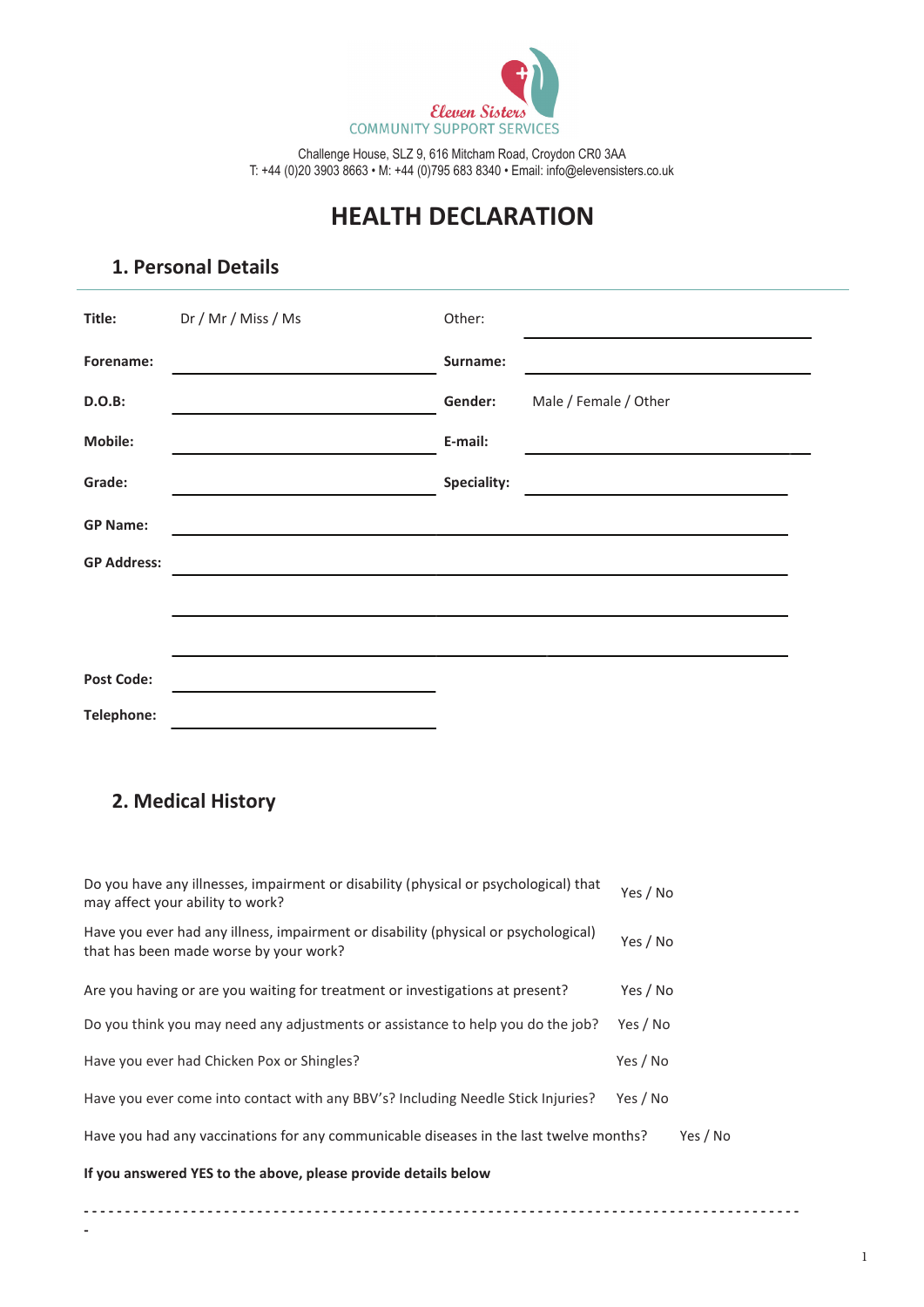

Challenge House, SLZ 9, 616 Mitcham Road, Croydon CR0 3AA T: +44 (0)20 3903 8663 • M: +44 (0)795 683 8340 • Email: info@elevensisters.co.uk Chellenge House, CLZO, C4C Mitcheso Dead, Crouder, CD0, 2A **T:** 0208 5008 5008 54 74300 F: 020 5008 6548 **F: info@mylocum.com Reg. No:** 05057928 **VAT Reg. No:** 939486760

# **HEALTH DECLARATION**

### **1. Personal Details**

| Title:             | Dr / Mr / Miss / Ms | Other:      |                       |
|--------------------|---------------------|-------------|-----------------------|
| Forename:          |                     | Surname:    |                       |
| D.O.B:             |                     | Gender:     | Male / Female / Other |
| Mobile:            |                     | E-mail:     |                       |
| Grade:             |                     | Speciality: |                       |
| <b>GP Name:</b>    |                     |             |                       |
| <b>GP Address:</b> |                     |             |                       |
|                    |                     |             |                       |
|                    |                     |             |                       |
| <b>Post Code:</b>  |                     |             |                       |
| Telephone:         |                     |             |                       |

## **2. Medical History**

**-** 

| Do you have any illnesses, impairment or disability (physical or psychological) that<br>may affect your ability to work?      | Yes / No |
|-------------------------------------------------------------------------------------------------------------------------------|----------|
| Have you ever had any illness, impairment or disability (physical or psychological)<br>that has been made worse by your work? | Yes / No |
| Are you having or are you waiting for treatment or investigations at present?                                                 | Yes / No |
| Do you think you may need any adjustments or assistance to help you do the job?                                               | Yes / No |
| Have you ever had Chicken Pox or Shingles?                                                                                    | Yes / No |
| Have you ever come into contact with any BBV's? Including Needle Stick Injuries?                                              | Yes / No |
| Have you had any vaccinations for any communicable diseases in the last twelve months?                                        | Yes / No |
| If you answered YES to the above, please provide details below                                                                |          |
|                                                                                                                               |          |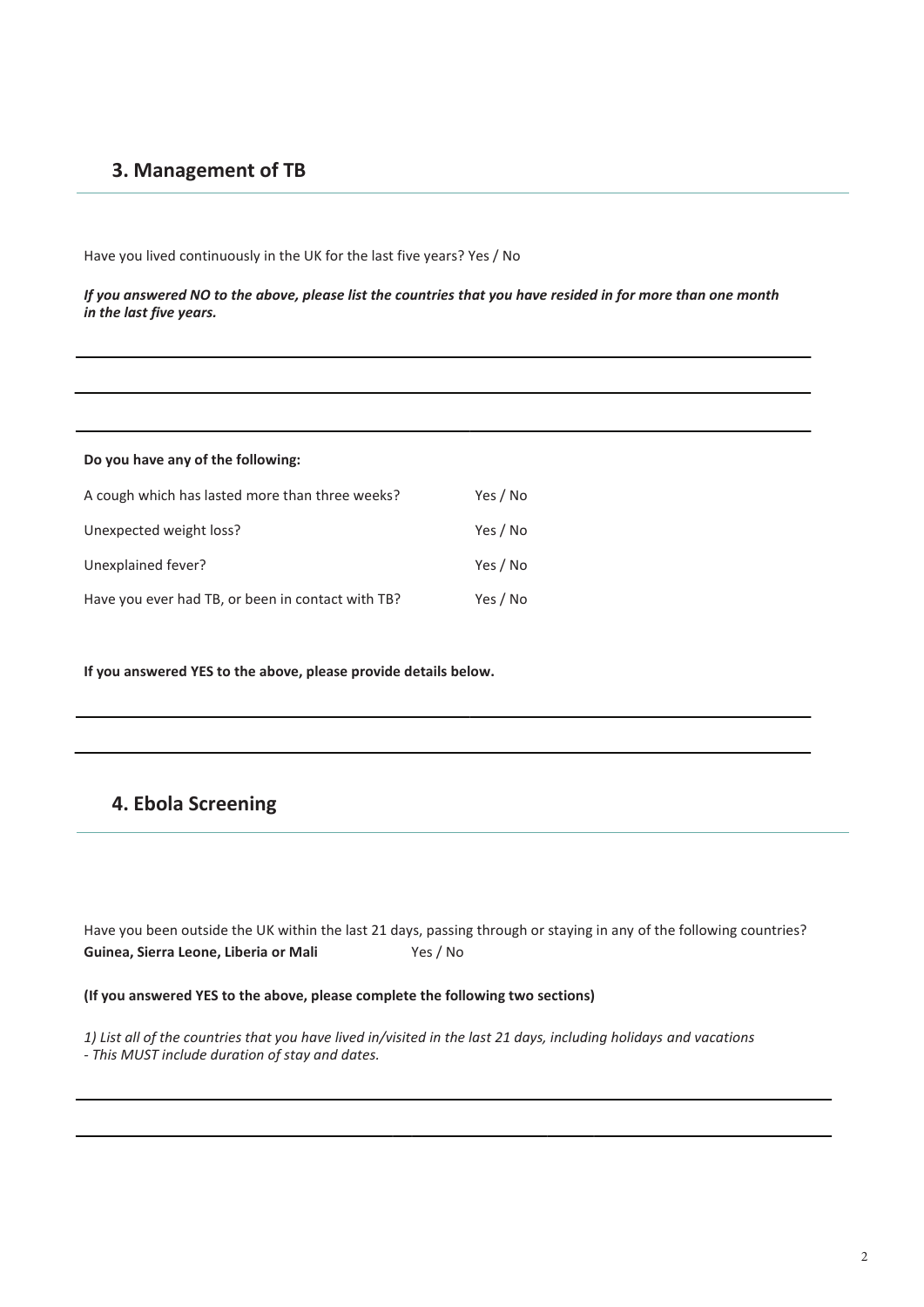### **3. Management of TB**

Have you lived continuously in the UK for the last five years? Yes / No

*If you answered NO to the above, please list the countries that you have resided in for more than one month in the last five years.* 

| Do you have any of the following:                 |          |  |  |  |
|---------------------------------------------------|----------|--|--|--|
| A cough which has lasted more than three weeks?   | Yes / No |  |  |  |
| Unexpected weight loss?                           | Yes / No |  |  |  |
| Unexplained fever?                                | Yes / No |  |  |  |
| Have you ever had TB, or been in contact with TB? | Yes / No |  |  |  |

**If you answered YES to the above, please provide details below.** 

### **4. Ebola Screening**

Have you been outside the UK within the last 21 days, passing through or staying in any of the following countries? **Guinea, Sierra Leone, Liberia or Mali** Yes / No

### **(If you answered YES to the above, please complete the following two sections)**

*1) List all of the countries that you have lived in/visited in the last 21 days, including holidays and vacations - This MUST include duration of stay and dates.*